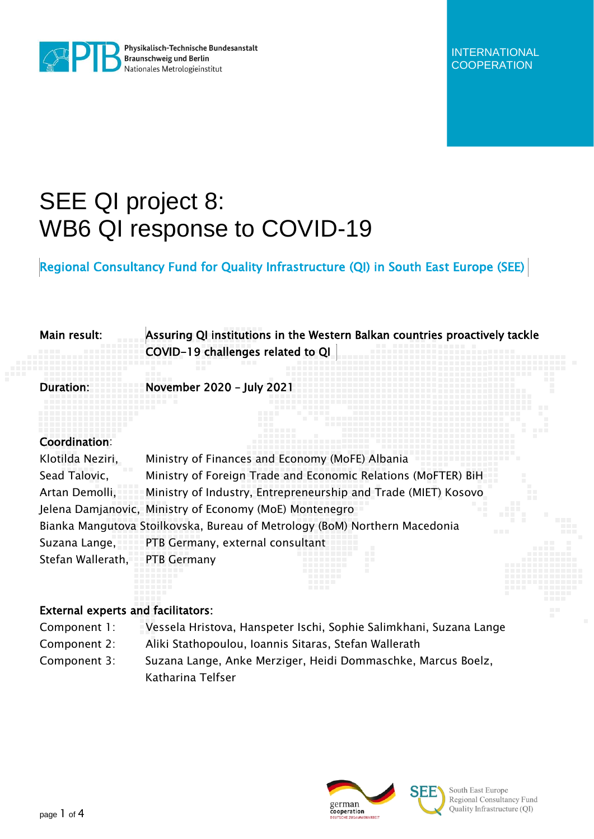

Physikalisch-Technische Bundesanstalt<br>Braunschweig und Berlin<br>Nationales Metrologieinstitut Nationales Metrologieinstitut

# SEE QI project 8: WB6 QI response to COVID-19

Regional Consultancy Fund for Quality Infrastructure (QI) in South East Europe (SEE)

| Main result:                              | Assuring QI institutions in the Western Balkan countries proactively tackle<br>COVID-19 challenges related to QI |
|-------------------------------------------|------------------------------------------------------------------------------------------------------------------|
|                                           | . .<br>.<br>November 2020 - July 202                                                                             |
|                                           |                                                                                                                  |
| Coordination:                             |                                                                                                                  |
| Klotilda Neziri,                          | Ministry of Finances and Economy (MoFE) Albania                                                                  |
| Sead Talovic,                             | Ministry of Foreign Trade and Economic Relations (MoFTER) BiH                                                    |
| Artan Demolli,                            | Ministry of Industry, Entrepreneurship and Trade (MIET) Kosovo                                                   |
|                                           | Jelena Damjanovic, Ministry of Economy (MoE) Montenegro                                                          |
|                                           | Bianka Mangutova Stoilkovska, Bureau of Metrology (BoM) Northern Macedonia<br>a a s                              |
|                                           | Suzana Lange, PTB Germany, external consultant                                                                   |
| Stefan Wallerath, PTB Germany             |                                                                                                                  |
|                                           |                                                                                                                  |
| <b>External experts and facilitators:</b> |                                                                                                                  |

## Component 1: Vessela Hristova, Hanspeter Ischi, Sophie Salimkhani, Suzana Lange Component 2: Aliki Stathopoulou, Ioannis Sitaras, Stefan Wallerath

Component 3: Suzana Lange, Anke Merziger, Heidi Dommaschke, Marcus Boelz, Katharina Telfser



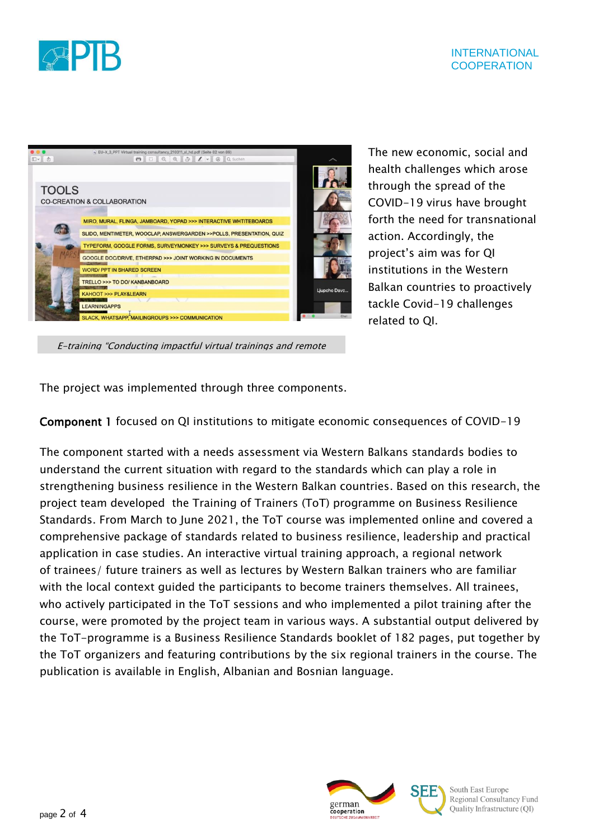

|              | BU-X 3 PPT Virtual training consultancy 210311 sl hd.pdf (Seite 82 von 89)                |             |
|--------------|-------------------------------------------------------------------------------------------|-------------|
| 四 西          | $\Theta$ $\Box$ $\theta$ $\theta$ $\tilde{\theta}$ $\ell$ $\vee$ $\theta$ $\alpha$ Suchen |             |
|              |                                                                                           |             |
| <b>TOOLS</b> |                                                                                           |             |
|              | <b>CO-CREATION &amp; COLLABORATION</b>                                                    |             |
|              | MIRO, MURAL, FLINGA, JAMBOARD, YOPAD >>> INTERACTIVE WHTITEBOARDS                         |             |
|              | SLIDO, MENTIMETER, WOOCLAP, ANSWERGARDEN >>POLLS, PRESENTATION, QUIZ                      |             |
|              | TYPEFORM, GOOGLE FORMS, SURVEYMONKEY >>> SURVEYS & PREQUESTIONS                           |             |
|              | <b>GOOGLE DOC/DRIVE, ETHERPAD &gt;&gt;&gt; JOINT WORKING IN DOCUMENTS</b>                 |             |
|              | <b>WORD/ PPT IN SHARED SCREEN</b>                                                         |             |
|              | TRELLO >>> TO DO/ KANBANBOARD                                                             |             |
|              | <b>KAHOOT &gt;&gt;&gt; PLAY&amp;LEARN</b>                                                 | Ljupcho Dav |
|              | <b>LEARNINGAPPS</b>                                                                       |             |
|              | <b>SLACK, WHATSAPP, MAILINGROUPS &gt;&gt;&gt; COMMUNICATION</b>                           |             |

The new economic, social and health challenges which arose through the spread of the COVID-19 virus have brought forth the need for transnational action. Accordingly, the project's aim was for QI institutions in the Western Balkan countries to proactively tackle Covid-19 challenges related to QI.

E-training "Conducting impactful virtual trainings and remote

The project was implemented through three components.

#### Component 1 focused on QI institutions to mitigate economic consequences of COVID-19

513

The component started with a needs assessment via Western Balkans standards bodies to understand the current situation with regard to the standards which can play a role in strengthening business resilience in the Western Balkan countries. Based on this research, the project team developed the Training of Trainers (ToT) programme on Business Resilience Standards. From March to June 2021, the ToT course was implemented online and covered a comprehensive package of standards related to business resilience, leadership and practical application in case studies. An interactive virtual training approach, a regional network of trainees/ future trainers as well as lectures by Western Balkan trainers who are familiar with the local context guided the participants to become trainers themselves. All trainees, who actively participated in the ToT sessions and who implemented a pilot training after the course, were promoted by the project team in various ways. A substantial output delivered by the ToT-programme is a Business Resilience Standards booklet of 182 pages, put together by the ToT organizers and featuring contributions by the six regional trainers in the course. The publication is available in English, Albanian and Bosnian language.



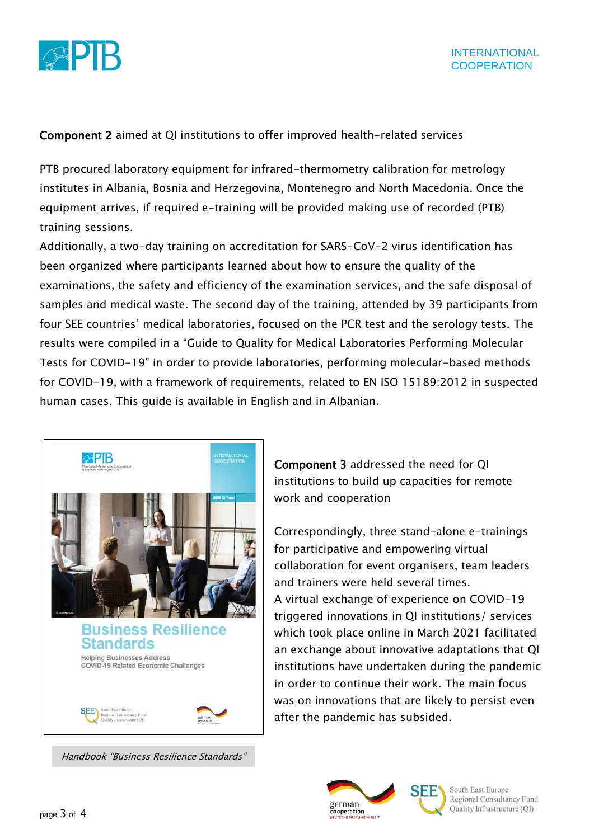

#### Component 2 aimed at QI institutions to offer improved health-related services

PTB procured laboratory equipment for infrared-thermometry calibration for metrology institutes in Albania, Bosnia and Herzegovina, Montenegro and North Macedonia. Once the equipment arrives, if required e-training will be provided making use of recorded (PTB) training sessions.

Additionally, a two-day training on accreditation for SARS-CoV-2 virus identification has been organized where participants learned about how to ensure the quality of the examinations, the safety and efficiency of the examination services, and the safe disposal of samples and medical waste. The second day of the training, attended by 39 participants from four SEE countries' medical laboratories, focused on the PCR test and the serology tests. The results were compiled in a "Guide to Quality for Medical Laboratories Performing Molecular Tests for COVID-19" in order to provide laboratories, performing molecular-based methods for COVID-19, with a framework of requirements, related to EN ISO 15189:2012 in suspected human cases. This guide is available in English and in Albanian.



Handbook "Business Resilience Standards"

Component 3 addressed the need for QI institutions to build up capacities for remote work and cooperation

Correspondingly, three stand-alone e-trainings for participative and empowering virtual collaboration for event organisers, team leaders and trainers were held several times. A virtual exchange of experience on COVID-19 triggered innovations in QI institutions/ services which took place online in March 2021 facilitated an exchange about innovative adaptations that QI institutions have undertaken during the pandemic in order to continue their work. The main focus was on innovations that are likely to persist even after the pandemic has subsided.





South East Europe Regional Consultancy Fund Quality Infrastructure (QI)